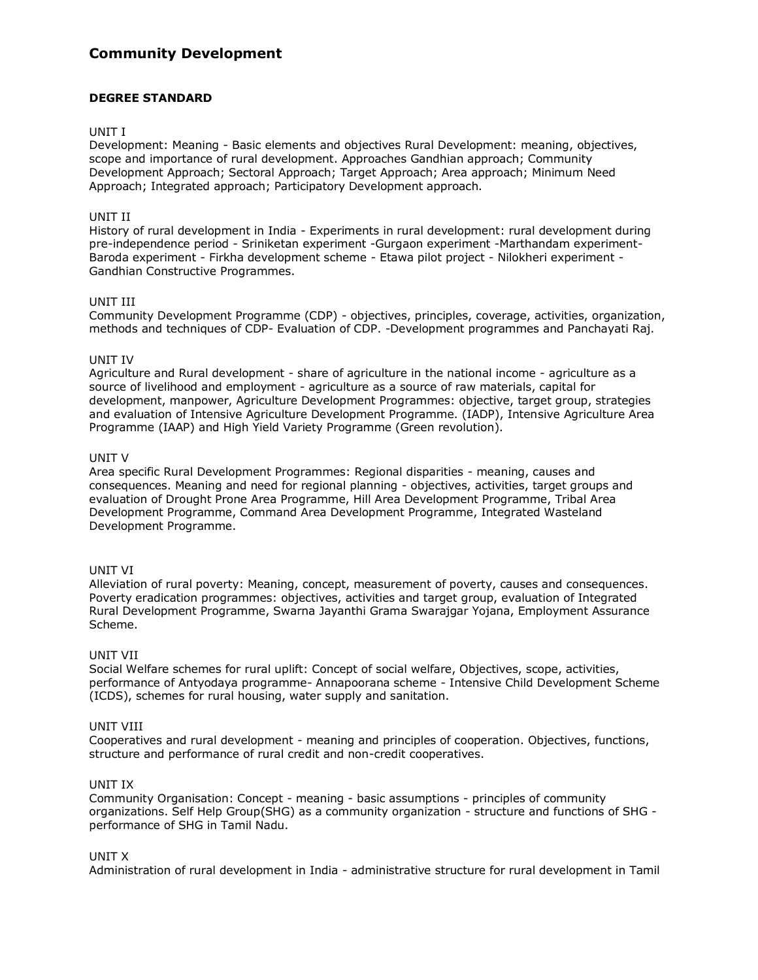# **Community Development**

## **DEGREE STANDARD**

#### UNIT I

Development: Meaning - Basic elements and objectives Rural Development: meaning, objectives, scope and importance of rural development. Approaches Gandhian approach; Community Development Approach; Sectoral Approach; Target Approach; Area approach; Minimum Need Approach; Integrated approach; Participatory Development approach.

#### UNIT II

History of rural development in India - Experiments in rural development: rural development during pre-independence period - Sriniketan experiment -Gurgaon experiment -Marthandam experiment-Baroda experiment - Firkha development scheme - Etawa pilot project - Nilokheri experiment - Gandhian Constructive Programmes.

#### UNIT III

Community Development Programme (CDP) - objectives, principles, coverage, activities, organization, methods and techniques of CDP- Evaluation of CDP. -Development programmes and Panchayati Raj.

### UNIT IV

Agriculture and Rural development - share of agriculture in the national income - agriculture as a source of livelihood and employment - agriculture as a source of raw materials, capital for development, manpower, Agriculture Development Programmes: objective, target group, strategies and evaluation of Intensive Agriculture Development Programme. (IADP), Intensive Agriculture Area Programme (IAAP) and High Yield Variety Programme (Green revolution).

#### UNIT V

Area specific Rural Development Programmes: Regional disparities - meaning, causes and consequences. Meaning and need for regional planning - objectives, activities, target groups and evaluation of Drought Prone Area Programme, Hill Area Development Programme, Tribal Area Development Programme, Command Area Development Programme, Integrated Wasteland Development Programme.

#### UNIT VI

Alleviation of rural poverty: Meaning, concept, measurement of poverty, causes and consequences. Poverty eradication programmes: objectives, activities and target group, evaluation of Integrated Rural Development Programme, Swarna Jayanthi Grama Swarajgar Yojana, Employment Assurance Scheme.

#### UNIT VII

Social Welfare schemes for rural uplift: Concept of social welfare, Objectives, scope, activities, performance of Antyodaya programme- Annapoorana scheme - Intensive Child Development Scheme (ICDS), schemes for rural housing, water supply and sanitation.

#### UNIT VIII

Cooperatives and rural development - meaning and principles of cooperation. Objectives, functions, structure and performance of rural credit and non-credit cooperatives.

#### UNIT IX

Community Organisation: Concept - meaning - basic assumptions - principles of community organizations. Self Help Group(SHG) as a community organization - structure and functions of SHG performance of SHG in Tamil Nadu.

#### UNIT X

Administration of rural development in India - administrative structure for rural development in Tamil